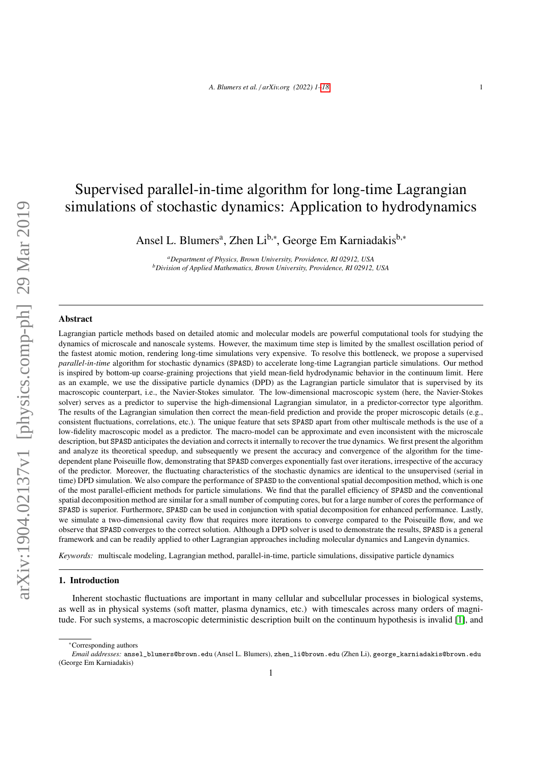# Supervised parallel-in-time algorithm for long-time Lagrangian simulations of stochastic dynamics: Application to hydrodynamics

Ansel L. Blumers<sup>a</sup>, Zhen Li<sup>b,∗</sup>, George Em Karniadakis<sup>b,∗</sup>

*<sup>a</sup>Department of Physics, Brown University, Providence, RI 02912, USA <sup>b</sup>Division of Applied Mathematics, Brown University, Providence, RI 02912, USA*

#### Abstract

Lagrangian particle methods based on detailed atomic and molecular models are powerful computational tools for studying the dynamics of microscale and nanoscale systems. However, the maximum time step is limited by the smallest oscillation period of the fastest atomic motion, rendering long-time simulations very expensive. To resolve this bottleneck, we propose a supervised *parallel-in-time* algorithm for stochastic dynamics (SPASD) to accelerate long-time Lagrangian particle simulations. Our method is inspired by bottom-up coarse-graining projections that yield mean-field hydrodynamic behavior in the continuum limit. Here as an example, we use the dissipative particle dynamics (DPD) as the Lagrangian particle simulator that is supervised by its macroscopic counterpart, i.e., the Navier-Stokes simulator. The low-dimensional macroscopic system (here, the Navier-Stokes solver) serves as a predictor to supervise the high-dimensional Lagrangian simulator, in a predictor-corrector type algorithm. The results of the Lagrangian simulation then correct the mean-field prediction and provide the proper microscopic details (e.g., consistent fluctuations, correlations, etc.). The unique feature that sets SPASD apart from other multiscale methods is the use of a low-fidelity macroscopic model as a predictor. The macro-model can be approximate and even inconsistent with the microscale description, but SPASD anticipates the deviation and corrects it internally to recover the true dynamics. We first present the algorithm and analyze its theoretical speedup, and subsequently we present the accuracy and convergence of the algorithm for the timedependent plane Poiseuille flow, demonstrating that SPASD converges exponentially fast over iterations, irrespective of the accuracy of the predictor. Moreover, the fluctuating characteristics of the stochastic dynamics are identical to the unsupervised (serial in time) DPD simulation. We also compare the performance of SPASD to the conventional spatial decomposition method, which is one of the most parallel-efficient methods for particle simulations. We find that the parallel efficiency of SPASD and the conventional spatial decomposition method are similar for a small number of computing cores, but for a large number of cores the performance of SPASD is superior. Furthermore, SPASD can be used in conjunction with spatial decomposition for enhanced performance. Lastly, we simulate a two-dimensional cavity flow that requires more iterations to converge compared to the Poiseuille flow, and we observe that SPASD converges to the correct solution. Although a DPD solver is used to demonstrate the results, SPASD is a general framework and can be readily applied to other Lagrangian approaches including molecular dynamics and Langevin dynamics.

*Keywords:* multiscale modeling, Lagrangian method, parallel-in-time, particle simulations, dissipative particle dynamics

#### 1. Introduction

Inherent stochastic fluctuations are important in many cellular and subcellular processes in biological systems, as well as in physical systems (soft matter, plasma dynamics, etc.) with timescales across many orders of magnitude. For such systems, a macroscopic deterministic description built on the continuum hypothesis is invalid [\[1\]](#page-16-1), and

<sup>∗</sup>Corresponding authors

*Email addresses:* ansel\_blumers@brown.edu (Ansel L. Blumers), zhen\_li@brown.edu (Zhen Li), george\_karniadakis@brown.edu (George Em Karniadakis)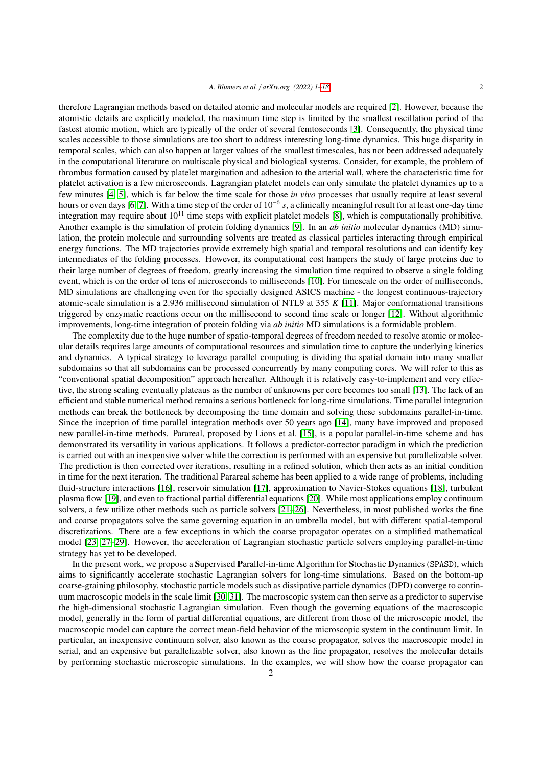therefore Lagrangian methods based on detailed atomic and molecular models are required [\[2\]](#page-16-2). However, because the atomistic details are explicitly modeled, the maximum time step is limited by the smallest oscillation period of the fastest atomic motion, which are typically of the order of several femtoseconds [\[3\]](#page-16-3). Consequently, the physical time scales accessible to those simulations are too short to address interesting long-time dynamics. This huge disparity in temporal scales, which can also happen at larger values of the smallest timescales, has not been addressed adequately in the computational literature on multiscale physical and biological systems. Consider, for example, the problem of thrombus formation caused by platelet margination and adhesion to the arterial wall, where the characteristic time for platelet activation is a few microseconds. Lagrangian platelet models can only simulate the platelet dynamics up to a few minutes [\[4,](#page-16-4) [5\]](#page-16-5), which is far below the time scale for those *in vivo* processes that usually require at least several hours or even days [\[6,](#page-16-6) [7\]](#page-16-7). With a time step of the order of 10−<sup>6</sup> *s*, a clinically meaningful result for at least one-day time integration may require about  $10^{11}$  time steps with explicit platelet models [\[8\]](#page-16-8), which is computationally prohibitive. Another example is the simulation of protein folding dynamics [\[9\]](#page-16-9). In an *ab initio* molecular dynamics (MD) simulation, the protein molecule and surrounding solvents are treated as classical particles interacting through empirical energy functions. The MD trajectories provide extremely high spatial and temporal resolutions and can identify key intermediates of the folding processes. However, its computational cost hampers the study of large proteins due to their large number of degrees of freedom, greatly increasing the simulation time required to observe a single folding event, which is on the order of tens of microseconds to milliseconds [\[10\]](#page-16-10). For timescale on the order of milliseconds, MD simulations are challenging even for the specially designed ASICS machine - the longest continuous-trajectory atomic-scale simulation is a 2.936 millisecond simulation of NTL9 at 355 *<sup>K</sup>* [\[11\]](#page-16-11). Major conformational transitions triggered by enzymatic reactions occur on the millisecond to second time scale or longer [\[12\]](#page-16-12). Without algorithmic improvements, long-time integration of protein folding via *ab initio* MD simulations is a formidable problem.

The complexity due to the huge number of spatio-temporal degrees of freedom needed to resolve atomic or molecular details requires large amounts of computational resources and simulation time to capture the underlying kinetics and dynamics. A typical strategy to leverage parallel computing is dividing the spatial domain into many smaller subdomains so that all subdomains can be processed concurrently by many computing cores. We will refer to this as "conventional spatial decomposition" approach hereafter. Although it is relatively easy-to-implement and very effective, the strong scaling eventually plateaus as the number of unknowns per core becomes too small [\[13\]](#page-16-13). The lack of an efficient and stable numerical method remains a serious bottleneck for long-time simulations. Time parallel integration methods can break the bottleneck by decomposing the time domain and solving these subdomains parallel-in-time. Since the inception of time parallel integration methods over 50 years ago [\[14\]](#page-16-14), many have improved and proposed new parallel-in-time methods. Parareal, proposed by Lions et al. [\[15\]](#page-16-15), is a popular parallel-in-time scheme and has demonstrated its versatility in various applications. It follows a predictor-corrector paradigm in which the prediction is carried out with an inexpensive solver while the correction is performed with an expensive but parallelizable solver. The prediction is then corrected over iterations, resulting in a refined solution, which then acts as an initial condition in time for the next iteration. The traditional Parareal scheme has been applied to a wide range of problems, including fluid-structure interactions [\[16\]](#page-16-16), reservoir simulation [\[17\]](#page-16-17), approximation to Navier-Stokes equations [\[18\]](#page-16-18), turbulent plasma flow [\[19\]](#page-16-19), and even to fractional partial differential equations [\[20\]](#page-16-20). While most applications employ continuum solvers, a few utilize other methods such as particle solvers [\[21–](#page-16-21)[26\]](#page-17-0). Nevertheless, in most published works the fine and coarse propagators solve the same governing equation in an umbrella model, but with different spatial-temporal discretizations. There are a few exceptions in which the coarse propagator operates on a simplified mathematical model [\[23,](#page-16-22) [27–](#page-17-1)[29\]](#page-17-2). However, the acceleration of Lagrangian stochastic particle solvers employing parallel-in-time strategy has yet to be developed.

In the present work, we propose a Supervised Parallel-in-time Algorithm for Stochastic Dynamics (SPASD), which aims to significantly accelerate stochastic Lagrangian solvers for long-time simulations. Based on the bottom-up coarse-graining philosophy, stochastic particle models such as dissipative particle dynamics (DPD) converge to continuum macroscopic models in the scale limit [\[30,](#page-17-3) [31\]](#page-17-4). The macroscopic system can then serve as a predictor to supervise the high-dimensional stochastic Lagrangian simulation. Even though the governing equations of the macroscopic model, generally in the form of partial differential equations, are different from those of the microscopic model, the macroscopic model can capture the correct mean-field behavior of the microscopic system in the continuum limit. In particular, an inexpensive continuum solver, also known as the coarse propagator, solves the macroscopic model in serial, and an expensive but parallelizable solver, also known as the fine propagator, resolves the molecular details by performing stochastic microscopic simulations. In the examples, we will show how the coarse propagator can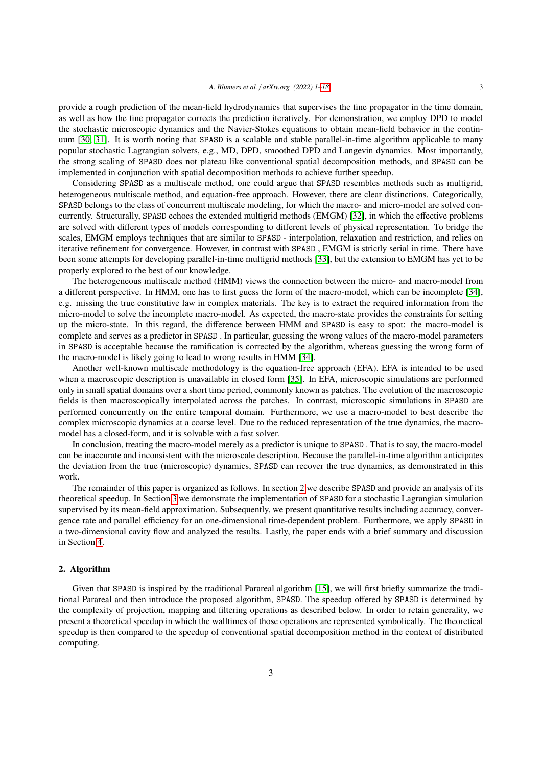provide a rough prediction of the mean-field hydrodynamics that supervises the fine propagator in the time domain, as well as how the fine propagator corrects the prediction iteratively. For demonstration, we employ DPD to model the stochastic microscopic dynamics and the Navier-Stokes equations to obtain mean-field behavior in the continuum [\[30,](#page-17-3) [31\]](#page-17-4). It is worth noting that SPASD is a scalable and stable parallel-in-time algorithm applicable to many popular stochastic Lagrangian solvers, e.g., MD, DPD, smoothed DPD and Langevin dynamics. Most importantly, the strong scaling of SPASD does not plateau like conventional spatial decomposition methods, and SPASD can be implemented in conjunction with spatial decomposition methods to achieve further speedup.

Considering SPASD as a multiscale method, one could argue that SPASD resembles methods such as multigrid, heterogeneous multiscale method, and equation-free approach. However, there are clear distinctions. Categorically, SPASD belongs to the class of concurrent multiscale modeling, for which the macro- and micro-model are solved concurrently. Structurally, SPASD echoes the extended multigrid methods (EMGM) [\[32\]](#page-17-5), in which the effective problems are solved with different types of models corresponding to different levels of physical representation. To bridge the scales, EMGM employs techniques that are similar to SPASD - interpolation, relaxation and restriction, and relies on iterative refinement for convergence. However, in contrast with SPASD , EMGM is strictly serial in time. There have been some attempts for developing parallel-in-time multigrid methods [\[33\]](#page-17-6), but the extension to EMGM has yet to be properly explored to the best of our knowledge.

The heterogeneous multiscale method (HMM) views the connection between the micro- and macro-model from a different perspective. In HMM, one has to first guess the form of the macro-model, which can be incomplete [\[34\]](#page-17-7), e.g. missing the true constitutive law in complex materials. The key is to extract the required information from the micro-model to solve the incomplete macro-model. As expected, the macro-state provides the constraints for setting up the micro-state. In this regard, the difference between HMM and SPASD is easy to spot: the macro-model is complete and serves as a predictor in SPASD . In particular, guessing the wrong values of the macro-model parameters in SPASD is acceptable because the ramification is corrected by the algorithm, whereas guessing the wrong form of the macro-model is likely going to lead to wrong results in HMM [\[34\]](#page-17-7).

Another well-known multiscale methodology is the equation-free approach (EFA). EFA is intended to be used when a macroscopic description is unavailable in closed form [\[35\]](#page-17-8). In EFA, microscopic simulations are performed only in small spatial domains over a short time period, commonly known as patches. The evolution of the macroscopic fields is then macroscopically interpolated across the patches. In contrast, microscopic simulations in SPASD are performed concurrently on the entire temporal domain. Furthermore, we use a macro-model to best describe the complex microscopic dynamics at a coarse level. Due to the reduced representation of the true dynamics, the macromodel has a closed-form, and it is solvable with a fast solver.

In conclusion, treating the macro-model merely as a predictor is unique to SPASD . That is to say, the macro-model can be inaccurate and inconsistent with the microscale description. Because the parallel-in-time algorithm anticipates the deviation from the true (microscopic) dynamics, SPASD can recover the true dynamics, as demonstrated in this work.

The remainder of this paper is organized as follows. In section [2](#page-2-0) we describe SPASD and provide an analysis of its theoretical speedup. In Section [3](#page-8-0) we demonstrate the implementation of SPASD for a stochastic Lagrangian simulation supervised by its mean-field approximation. Subsequently, we present quantitative results including accuracy, convergence rate and parallel efficiency for an one-dimensional time-dependent problem. Furthermore, we apply SPASD in a two-dimensional cavity flow and analyzed the results. Lastly, the paper ends with a brief summary and discussion in Section [4.](#page-15-0)

# <span id="page-2-0"></span>2. Algorithm

Given that SPASD is inspired by the traditional Parareal algorithm [\[15\]](#page-16-15), we will first briefly summarize the traditional Parareal and then introduce the proposed algorithm, SPASD. The speedup offered by SPASD is determined by the complexity of projection, mapping and filtering operations as described below. In order to retain generality, we present a theoretical speedup in which the walltimes of those operations are represented symbolically. The theoretical speedup is then compared to the speedup of conventional spatial decomposition method in the context of distributed computing.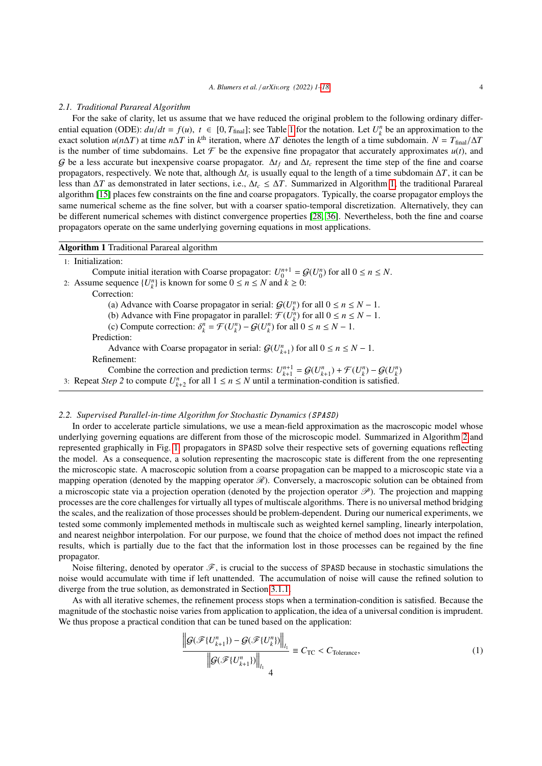#### *2.1. Traditional Parareal Algorithm*

For the sake of clarity, let us assume that we have reduced the original problem to the following ordinary differential equation (ODE):  $du/dt = f(u)$ ,  $t \in [0, T_{\text{final}}]$ ; see Table [1](#page-4-0) for the notation. Let  $U_k^n$  be an approximation to the exact solution  $u(n\Delta T)$  at time  $n\Delta T$  in  $k^{\text{th}}$  iteration, where  $\Delta T$  denotes the length of a tim exact solution  $u(n\Delta T)$  at time  $n\Delta T$  in  $k^{\text{th}}$  iteration, where  $\Delta T$  denotes the length of a time subdomain.  $N = T_{\text{final}}/\Delta T$ <br>is the number of time subdomains. Let  $\mathcal F$  be the expensive fine propagator that accurate is the number of time subdomains. Let  $\mathcal F$  be the expensive fine propagator that accurately approximates  $u(t)$ , and G be a less accurate but inexpensive coarse propagator.  $\Delta t_f$  and  $\Delta t_c$  represent the time step of the fine and coarse propagators, respectively. We note that, although ∆*t<sup>c</sup>* is usually equal to the length of a time subdomain ∆*T*, it can be less than ∆*T* as demonstrated in later sections, i.e., ∆*t<sup>c</sup>* ≤ ∆*T*. Summarized in Algorithm [1,](#page-3-0) the traditional Parareal algorithm [\[15\]](#page-16-15) places few constraints on the fine and coarse propagators. Typically, the coarse propagator employs the same numerical scheme as the fine solver, but with a coarser spatio-temporal discretization. Alternatively, they can be different numerical schemes with distinct convergence properties [\[28,](#page-17-9) [36\]](#page-17-10). Nevertheless, both the fine and coarse propagators operate on the same underlying governing equations in most applications.

#### <span id="page-3-0"></span>Algorithm 1 Traditional Parareal algorithm

1: Initialization:

Compute initial iteration with Coarse propagator:  $U_0^{n+1} = G(U_0^n)$  for all  $0 \le n \le N$ . 2: Assume sequence  $\{U_k^n\}$  is known for some  $0 \le n \le N$  and  $k \ge 0$ : Correction: (a) Advance with Coarse propagator in serial:  $\mathcal{G}(U_k^n)$  for all  $0 \le n \le N - 1$ . (b) Advance with Fine propagator in parallel:  $\mathcal{F}(U_k^n)$  for all  $0 \le n \le N - 1$ . (c) Compute correction:  $\delta_k^n = \mathcal{F}(U_k^n) - \mathcal{G}(U_k^n)$  for all  $0 \le n \le N - 1$ . Prediction: Advance with Coarse propagator in serial:  $\mathcal{G}(U_{k+1}^n)$  for all  $0 \le n \le N - 1$ . Refinement: Combine the correction and prediction terms:  $U_{k+1}^{n+1} = \mathcal{G}(U_{k+1}^n) + \mathcal{F}(U_k^n) - \mathcal{G}(U_k^n)$ 3: Repeat *Step 2* to compute  $U_{k+2}^n$  for all  $1 \le n \le N$  until a termination-condition is satisfied.

# <span id="page-3-2"></span>*2.2. Supervised Parallel-in-time Algorithm for Stochastic Dynamics (*SPASD*)*

In order to accelerate particle simulations, we use a mean-field approximation as the macroscopic model whose underlying governing equations are different from those of the microscopic model. Summarized in Algorithm [2](#page-4-1) and represented graphically in Fig. [1,](#page-5-0) propagators in SPASD solve their respective sets of governing equations reflecting the model. As a consequence, a solution representing the macroscopic state is different from the one representing the microscopic state. A macroscopic solution from a coarse propagation can be mapped to a microscopic state via a mapping operation (denoted by the mapping operator  $\mathcal{R}$ ). Conversely, a macroscopic solution can be obtained from a microscopic state via a projection operation (denoted by the projection operator  $\mathscr{P}$ ). The projection and mapping processes are the core challenges for virtually all types of multiscale algorithms. There is no universal method bridging the scales, and the realization of those processes should be problem-dependent. During our numerical experiments, we tested some commonly implemented methods in multiscale such as weighted kernel sampling, linearly interpolation, and nearest neighbor interpolation. For our purpose, we found that the choice of method does not impact the refined results, which is partially due to the fact that the information lost in those processes can be regained by the fine propagator.

Noise filtering, denoted by operator  $\mathscr{F}$ , is crucial to the success of SPASD because in stochastic simulations the noise would accumulate with time if left unattended. The accumulation of noise will cause the refined solution to diverge from the true solution, as demonstrated in Section [3.1.1.](#page-9-0)

As with all iterative schemes, the refinement process stops when a termination-condition is satisfied. Because the magnitude of the stochastic noise varies from application to application, the idea of a universal condition is imprudent. We thus propose a practical condition that can be tuned based on the application:

<span id="page-3-1"></span>
$$
\frac{\left\|G(\mathcal{F}\lbrace U_{k+1}^n\rbrace) - G(\mathcal{F}\lbrace U_k^n\rbrace)\right\|_{l_1}}{\left\|G(\mathcal{F}\lbrace U_{k+1}^n\rbrace)\right\|_{l_1}} \equiv C_{\text{TC}} < C_{\text{Tolerance}},\tag{1}
$$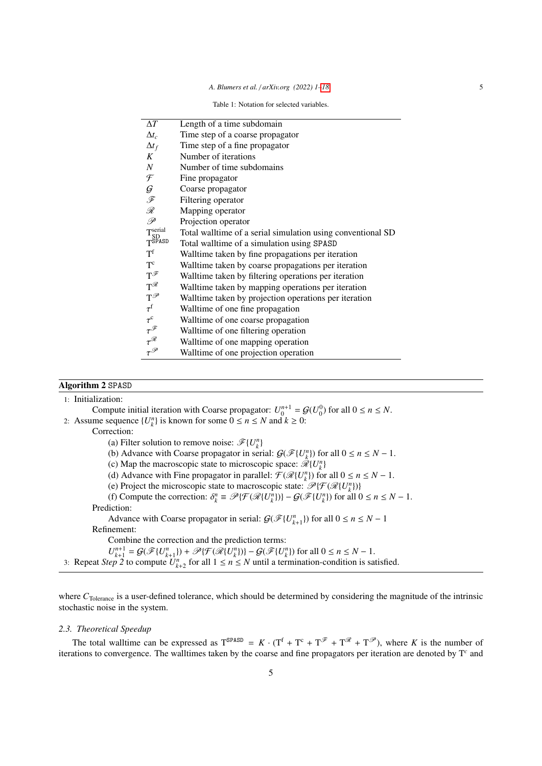Table 1: Notation for selected variables.

<span id="page-4-0"></span>

| $\Delta T$                                                                                          | Length of a time subdomain                                  |
|-----------------------------------------------------------------------------------------------------|-------------------------------------------------------------|
| $\Delta t_c$                                                                                        | Time step of a coarse propagator                            |
| $\Delta t_f$                                                                                        | Time step of a fine propagator                              |
| K                                                                                                   | Number of iterations                                        |
| $\boldsymbol{N}$                                                                                    | Number of time subdomains                                   |
| F                                                                                                   | Fine propagator                                             |
| $\cal G$                                                                                            | Coarse propagator                                           |
| F                                                                                                   | Filtering operator                                          |
| ${\mathscr R}$                                                                                      | Mapping operator                                            |
| P                                                                                                   | Projection operator                                         |
| $T_{\text{c}}^{\text{serial}}$                                                                      | Total walltime of a serial simulation using conventional SD |
| $T$ SPASD                                                                                           | Total walltime of a simulation using SPASD                  |
| $T^{t}$                                                                                             | Walltime taken by fine propagations per iteration           |
| $\mathbf{T}^{\mathrm{c}}$                                                                           | Walltime taken by coarse propagations per iteration         |
| $T^{\mathscr{F}}$                                                                                   | Walltime taken by filtering operations per iteration        |
| $T^{\mathscr{R}}$                                                                                   | Walltime taken by mapping operations per iteration          |
| $T^{\mathscr{P}}$                                                                                   | Walltime taken by projection operations per iteration       |
| $\tau^{\mathrm{f}}$                                                                                 | Walltime of one fine propagation                            |
| $\begin{align} \tau^{\mathrm{c}}\tau^{\mathscr{F}}\tau^{\mathscr{R}}\tau^{\mathscr{R}} \end{align}$ | Walltime of one coarse propagation                          |
|                                                                                                     | Walltime of one filtering operation                         |
|                                                                                                     | Walltime of one mapping operation                           |
| $\tau^{\mathscr{P}}$                                                                                | Walltime of one projection operation                        |
|                                                                                                     |                                                             |

# <span id="page-4-1"></span>Algorithm 2 SPASD

| 1: Initialization:                                                                                                                                                         |  |
|----------------------------------------------------------------------------------------------------------------------------------------------------------------------------|--|
| Compute initial iteration with Coarse propagator: $U_0^{n+1} = \mathcal{G}(U_0^0)$ for all $0 \le n \le N$ .                                                               |  |
| 2: Assume sequence $\{U_{k}^{n}\}\$ is known for some $0 \le n \le N$ and $k \ge 0$ :                                                                                      |  |
| Correction:                                                                                                                                                                |  |
| (a) Filter solution to remove noise: $\mathscr{F}{U_{\iota}^{n}}$                                                                                                          |  |
| (b) Advance with Coarse propagator in serial: $\mathcal{G}(\mathcal{F}\{U_{k}^{n}\})$ for all $0 \leq n \leq N - 1$ .                                                      |  |
| (c) Map the macroscopic state to microscopic space: $\mathcal{R}\lbrace U_{\iota}^{n}\rbrace$                                                                              |  |
| (d) Advance with Fine propagator in parallel: $\mathcal{F}(\mathcal{R}\{U_{k}^{n}\})$ for all $0 \leq n \leq N - 1$ .                                                      |  |
| (e) Project the microscopic state to macroscopic state: $\mathcal{P}\{\mathcal{F}(\mathcal{R}\{U_k^n\})\}$                                                                 |  |
| (f) Compute the correction: $\delta_k^n \equiv \mathcal{P}\{\mathcal{F}(\mathcal{R}\{U_k^n\})\} - \mathcal{G}(\mathcal{F}\{U_k^n\})$ for all $0 \le n \le N - 1$ .         |  |
| Prediction:                                                                                                                                                                |  |
| Advance with Coarse propagator in serial: $\mathcal{G}(\mathcal{F}\{U_{k+1}^n\})$ for all $0 \le n \le N-1$                                                                |  |
| Refinement:                                                                                                                                                                |  |
| Combine the correction and the prediction terms:                                                                                                                           |  |
| $U_{k+1}^{n+1} = \mathcal{G}(\mathcal{F}\{U_{k+1}^n\}) + \mathcal{P}\{\mathcal{F}(\mathcal{R}\{U_k^n\})\} - \mathcal{G}(\mathcal{F}\{U_k^n\})$ for all $0 \le n \le N-1$ . |  |
| 3: Repeat Step 2 to compute $U_{k+2}^n$ for all $1 \le n \le N$ until a termination-condition is satisfied.                                                                |  |

where C<sub>Tolerance</sub> is a user-defined tolerance, which should be determined by considering the magnitude of the intrinsic stochastic noise in the system.

# <span id="page-4-2"></span>*2.3. Theoretical Speedup*

The total walltime can be expressed as  $T^{SPASD} = K \cdot (T^f + T^c + T^{\mathcal{F}} + T^{\mathcal{F}} + T^{\mathcal{F}})$ , where *K* is the number of iterations to convergence. The walltimes taken by the coarse and fine propagators per iteration are denoted by  $T<sup>c</sup>$  and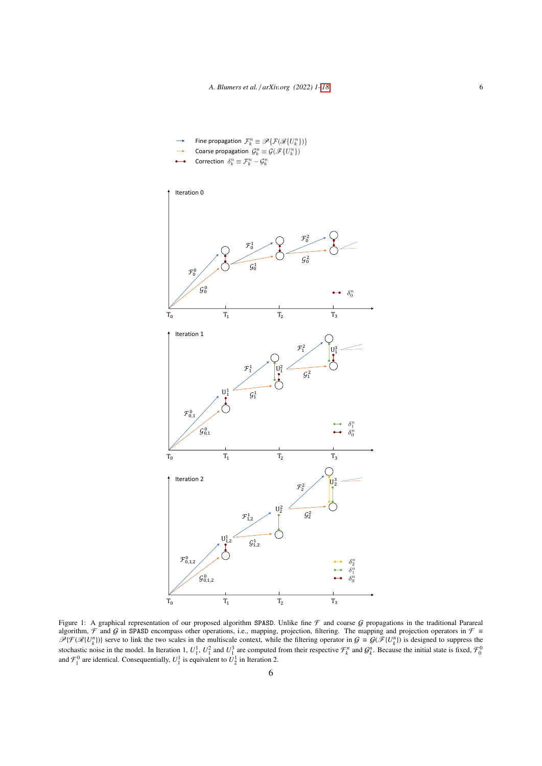- Fine propagation  $\mathcal{F}_k^n \equiv \mathscr{P} \{ \mathcal{F}(\mathscr{R}\{U_k^n\}) \}$
- Coarse propagation  $\,\mathcal{G}^{\,n}_k \equiv \mathcal{G}(\mathscr{F}\{U^{n}_k\})\,$
- Correction  $\delta_k^n\equiv\mathcal{F}_k^n-\mathcal{G}_k^n$

<span id="page-5-0"></span>

Figure 1: A graphical representation of our proposed algorithm SPASD. Unlike fine  $\mathcal F$  and coarse  $\mathcal G$  propagations in the traditional Parareal algorithm,  $\mathcal F$  and  $\mathcal G$  in SPASD encompass other operations, i.e., mapping, projection, filtering. The mapping and projection operators in  $\mathcal F \equiv$  $\mathcal{P}\{\mathcal{F}(\mathcal{R}\{U_k^n\})\}$  serve to link the two scales in the multiscale context, while the filtering operator in  $\mathcal{G} \equiv \mathcal{G}(\mathcal{F}\{U_k^n\})$  is designed to suppress the stochastic noise in the model. In Iteration 1,  $U_1^1$ ,  $U_1^2$  and  $U_1^3$  are computed from their respective  $\mathcal{F}_k^n$  and  $\mathcal{G}_k^n$ . Because the initial state is fixed,  $\mathcal{F}_0^0$  and  $\mathcal{F}_1^0$  are identical. Cons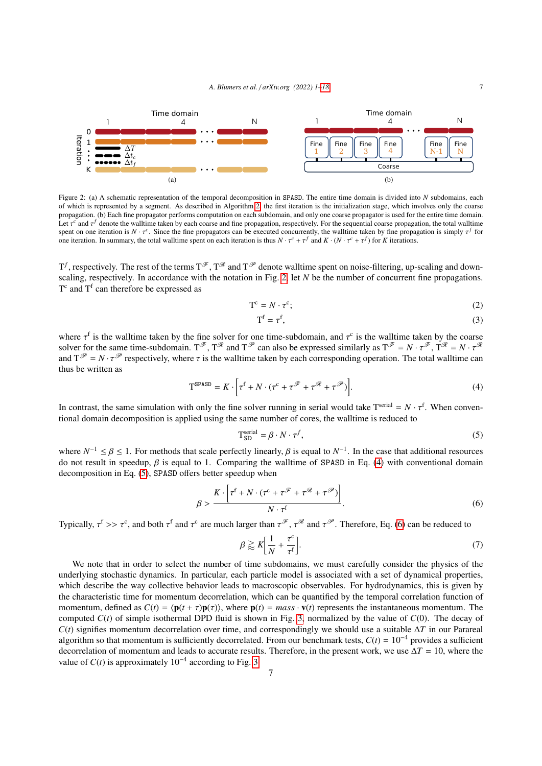<span id="page-6-0"></span>

Figure 2: (a) A schematic representation of the temporal decomposition in SPASD. The entire time domain is divided into *N* subdomains, each of which is represented by a segment. As described in Algorithm [2,](#page-4-1) the first iteration is the initialization stage, which involves only the coarse propagation. (b) Each fine propagator performs computation on each subdomain, and only one coarse propagator is used for the entire time domain. Let  $\tau^c$  and  $\tau^f$  denote the walltime taken by each coarse and fine propagation, respectively. For the sequential coarse propagation, the total walltime second on the sequential coarse propagation, the total walltime spent on one iteration is  $N \cdot \tau^c$ . Since the fine propagators can be executed concurrently, the walltime taken by fine propagation is simply  $\tau^f$  for one iteration. In summary the total walltime spent on each iteratio one iteration. In summary, the total wall time spent on each iteration is thus  $N \cdot \tau^c + \tau^f$  and  $K \cdot (N \cdot \tau^c + \tau^f)$  for *K* iterations.

 $T^f$ , respectively. The rest of the terms  $T^{\mathscr{F}}$ ,  $T^{\mathscr{R}}$  and  $T^{\mathscr{P}}$  denote walltime spent on noise-filtering, up-scaling and downscaling, respectively. In accordance with the notation in Fig. [2,](#page-6-0) let *N* be the number of concurrent fine propagations.  $T<sup>c</sup>$  and  $T<sup>f</sup>$  can therefore be expressed as

$$
T^{c} = N \cdot \tau^{c};\tag{2}
$$

<span id="page-6-1"></span>
$$
T^f = \tau^f,\tag{3}
$$

where  $\tau^{\dagger}$  is the walltime taken by the fine solver for one time-subdomain, and  $\tau$ <br>solver for the same time-subdomain,  $T^{\mathscr{F}}$ ,  $T^{\mathscr{R}}$  and  $T^{\mathscr{P}}$  can also be expressed sim-<sup>f</sup> is the walltime taken by the fine solver for one time-subdomain, and  $\tau^c$  is the walltime taken by the coarse solver for the same time-subdomain.  $T^{\mathscr{F}}$ ,  $T^{\mathscr{R}}$  and  $T^{\mathscr{P}}$  can also be expressed similarly as  $T^{\mathscr{F}} = N \cdot \tau^{\mathscr{F}}$ ,  $T^{\mathscr{R}} = N \cdot \tau^{\mathscr{R}}$ <br>and  $T^{\mathscr{P}} = N \cdot \tau^{\mathscr{P}}$  respectively where  $\tau$  is the wall and  $T^{\mathcal{P}} = N \cdot \tau^{\mathcal{P}}$  respectively, where  $\tau$  is the walltime taken by each corresponding operation. The total walltime can thus be written as

$$
T^{SPASD} = K \cdot \left[ \tau^f + N \cdot (\tau^c + \tau^{\mathcal{F}} + \tau^{\mathcal{R}} + \tau^{\mathcal{P}}) \right]. \tag{4}
$$

In contrast, the same simulation with only the fine solver running in serial would take  $T^{\text{serial}} = N \cdot \tau^{\text{f}}$ . When conventional domain decomposition is applied using the same number of cores, the walltime is reduced to tional domain decomposition is applied using the same number of cores, the walltime is reduced to

<span id="page-6-2"></span>
$$
T_{SD}^{serial} = \beta \cdot N \cdot \tau^f,\tag{5}
$$

where  $N^{-1} \le \beta \le 1$ . For methods that scale perfectly linearly,  $\beta$  is equal to  $N^{-1}$ . In the case that additional resources do not result in speedup  $\beta$  is equal to 1. Comparing the walltime of SPASD in Eq. (4) with do not result in speedup,  $\beta$  is equal to 1. Comparing the walltime of SPASD in Eq. [\(4\)](#page-6-1) with conventional domain decomposition in Eq. [\(5\)](#page-6-2), SPASD offers better speedup when

<span id="page-6-3"></span>
$$
\beta > \frac{K \cdot \left[\tau^{\text{f}} + N \cdot (\tau^{\text{c}} + \tau^{\mathcal{F}} + \tau^{\mathcal{R}} + \tau^{\mathcal{P}})\right]}{N \cdot \tau^{\text{f}}}.
$$
\n(6)

Typically,  $\tau^f \gg \tau^c$ , and both  $\tau^f$  and  $\tau^c$  are much larger than  $\tau^{\mathscr{F}}$ ,  $\tau^{\mathscr{R}}$  and  $\tau^{\mathscr{P}}$ . Therefore, Eq. [\(6\)](#page-6-3) can be reduced to

<span id="page-6-4"></span>
$$
\beta \gtrapprox K \bigg[ \frac{1}{N} + \frac{\tau^c}{\tau^f} \bigg].
$$
\n(7)

We note that in order to select the number of time subdomains, we must carefully consider the physics of the underlying stochastic dynamics. In particular, each particle model is associated with a set of dynamical properties, which describe the way collective behavior leads to macroscopic observables. For hydrodynamics, this is given by the characteristic time for momentum decorrelation, which can be quantified by the temporal correlation function of momentum, defined as  $C(t) = \langle \mathbf{p}(t + \tau) \mathbf{p}(\tau) \rangle$ , where  $\mathbf{p}(t) = mass \cdot \mathbf{v}(t)$  represents the instantaneous momentum. The computed  $C(t)$  of simple isothermal DPD fluid is shown in Fig. [3,](#page-7-0) normalized by the value of  $C(0)$ . The decay of *C*(*t*) signifies momentum decorrelation over time, and correspondingly we should use a suitable ∆*T* in our Parareal algorithm so that momentum is sufficiently decorrelated. From our benchmark tests,  $C(t) = 10^{-4}$  provides a sufficient decorrelation of momentum and leads to accurate results. Therefore, in the present work, we use  $\Delta T = 10$ , where the value of  $C(t)$  is approximately  $10^{-4}$  according to Fig. [3.](#page-7-0)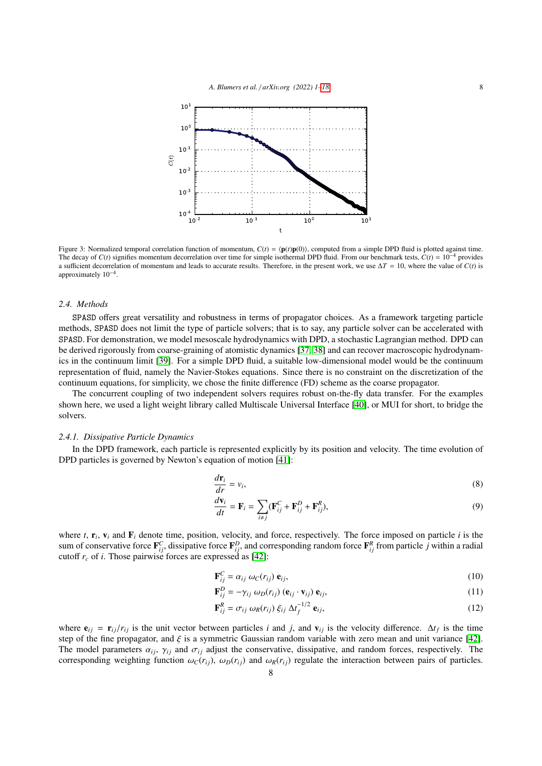<span id="page-7-0"></span>

Figure 3: Normalized temporal correlation function of momentum,  $C(t) = \langle p(t)p(0) \rangle$ , computed from a simple DPD fluid is plotted against time. The decay of  $C(t)$  signifies momentum decorrelation over time for simple isothermal DPD fluid. From our benchmark tests,  $C(t) = 10^{-4}$  provides a sufficient decorrelation of momentum and leads to accurate results. Therefore, in the present work, we use  $\Delta T = 10$ , where the value of *C*(*t*) is approximately 10−<sup>4</sup> .

# *2.4. Methods*

SPASD offers great versatility and robustness in terms of propagator choices. As a framework targeting particle methods, SPASD does not limit the type of particle solvers; that is to say, any particle solver can be accelerated with SPASD. For demonstration, we model mesoscale hydrodynamics with DPD, a stochastic Lagrangian method. DPD can be derived rigorously from coarse-graining of atomistic dynamics [\[37,](#page-17-11) [38\]](#page-17-12) and can recover macroscopic hydrodynamics in the continuum limit [\[39\]](#page-17-13). For a simple DPD fluid, a suitable low-dimensional model would be the continuum representation of fluid, namely the Navier-Stokes equations. Since there is no constraint on the discretization of the continuum equations, for simplicity, we chose the finite difference (FD) scheme as the coarse propagator.

The concurrent coupling of two independent solvers requires robust on-the-fly data transfer. For the examples shown here, we used a light weight library called Multiscale Universal Interface [\[40\]](#page-17-14), or MUI for short, to bridge the solvers.

# *2.4.1. Dissipative Particle Dynamics*

In the DPD framework, each particle is represented explicitly by its position and velocity. The time evolution of DPD particles is governed by Newton's equation of motion [\[41\]](#page-17-15):

$$
\frac{d\mathbf{r}_i}{dr} = v_i,\tag{8}
$$

$$
\frac{d\mathbf{v}_i}{dt} = \mathbf{F}_i = \sum_{i \neq j} (\mathbf{F}_{ij}^C + \mathbf{F}_{ij}^D + \mathbf{F}_{ij}^R),
$$
\n(9)

where  $t$ ,  $\mathbf{r}_i$ ,  $\mathbf{v}_i$  and  $\mathbf{F}_i$  denote time, position, velocity, and force, respectively. The force imposed on particle  $i$  is the sum of conservative force  $\mathbf{F}_{ij}^C$ , dissipative force  $\mathbf{F}_{ij}^D$ , and corresponding random force  $\mathbf{F}_{ij}^R$  from particle *j* within a radial cutoff  $r_c$  of *i*. Those pairwise forces are expressed as [\[42\]](#page-17-16):

$$
\mathbf{F}_{ij}^C = \alpha_{ij} \omega_C(r_{ij}) \mathbf{e}_{ij},\tag{10}
$$

$$
\mathbf{F}_{ij}^D = -\gamma_{ij} \omega_D(r_{ij}) \left( \mathbf{e}_{ij} \cdot \mathbf{v}_{ij} \right) \mathbf{e}_{ij},\tag{11}
$$

$$
\mathbf{F}_{ij}^R = \sigma_{ij} \omega_R(r_{ij}) \xi_{ij} \Delta t_f^{-1/2} \mathbf{e}_{ij},
$$
\n(12)

where  $e_{ij} = \mathbf{r}_{ij}/r_{ij}$  is the unit vector between particles *i* and *j*, and  $\mathbf{v}_{ij}$  is the velocity difference.  $\Delta t_f$  is the time of the fine propagator, and  $\xi$  is a symmetric Gaussian random variable with zero step of the fine propagator, and  $\xi$  is a symmetric Gaussian random variable with zero mean and unit variance [\[42\]](#page-17-16). The model parameters  $\alpha_{ij}$ ,  $\gamma_{ij}$  and  $\sigma_{ij}$  adjust the conservative, dissipative, and random forces, respectively. The corresponding weighting function  $\omega_C(r_{ij})$ ,  $\omega_D(r_{ij})$  and  $\omega_R(r_{ij})$  regulate the interaction between pairs of particles.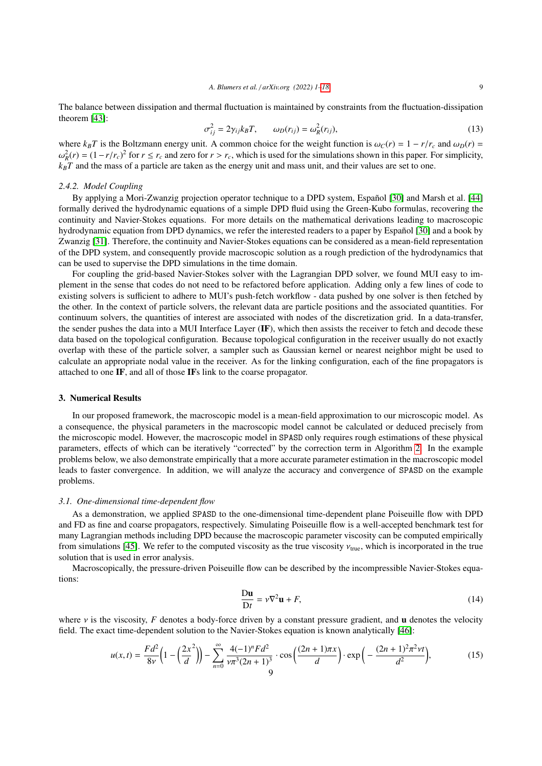The balance between dissipation and thermal fluctuation is maintained by constraints from the fluctuation-dissipation theorem [\[43\]](#page-17-17):

$$
\sigma_{ij}^2 = 2\gamma_{ij} k_B T, \qquad \omega_D(r_{ij}) = \omega_R^2(r_{ij}), \qquad (13)
$$

where  $k_B T$  is the Boltzmann energy unit. A common choice for the weight function is  $\omega_C(r) = 1 - r/r_c$  and  $\omega_D(r) = c_0^2(r) - (1 - r/r)^2$  for  $r \le r$  and zero for  $r > r$ , which is used for the simulations shown in this paper. For sim  $k_B T$  and the mass of a particle are taken as the energy unit and mass unit, and their values are set to one.  $R_R^2(r) = (1 - r/r_c)^2$  for  $r \le r_c$  and zero for  $r > r_c$ , which is used for the simulations shown in this paper. For simplicity,  $R_T$  and the mass of a particle are taken as the energy unit and mass unit, and their values are se

# *2.4.2. Model Coupling*

By applying a Mori-Zwanzig projection operator technique to a DPD system, Español [\[30\]](#page-17-3) and Marsh et al. [\[44\]](#page-17-18) formally derived the hydrodynamic equations of a simple DPD fluid using the Green-Kubo formulas, recovering the continuity and Navier-Stokes equations. For more details on the mathematical derivations leading to macroscopic hydrodynamic equation from DPD dynamics, we refer the interested readers to a paper by Español [\[30\]](#page-17-3) and a book by Zwanzig [\[31\]](#page-17-4). Therefore, the continuity and Navier-Stokes equations can be considered as a mean-field representation of the DPD system, and consequently provide macroscopic solution as a rough prediction of the hydrodynamics that can be used to supervise the DPD simulations in the time domain.

For coupling the grid-based Navier-Stokes solver with the Lagrangian DPD solver, we found MUI easy to implement in the sense that codes do not need to be refactored before application. Adding only a few lines of code to existing solvers is sufficient to adhere to MUI's push-fetch workflow - data pushed by one solver is then fetched by the other. In the context of particle solvers, the relevant data are particle positions and the associated quantities. For continuum solvers, the quantities of interest are associated with nodes of the discretization grid. In a data-transfer, the sender pushes the data into a MUI Interface Layer (IF), which then assists the receiver to fetch and decode these data based on the topological configuration. Because topological configuration in the receiver usually do not exactly overlap with these of the particle solver, a sampler such as Gaussian kernel or nearest neighbor might be used to calculate an appropriate nodal value in the receiver. As for the linking configuration, each of the fine propagators is attached to one IF, and all of those IFs link to the coarse propagator.

#### <span id="page-8-0"></span>3. Numerical Results

In our proposed framework, the macroscopic model is a mean-field approximation to our microscopic model. As a consequence, the physical parameters in the macroscopic model cannot be calculated or deduced precisely from the microscopic model. However, the macroscopic model in SPASD only requires rough estimations of these physical parameters, effects of which can be iteratively "corrected" by the correction term in Algorithm [2.](#page-4-1) In the example problems below, we also demonstrate empirically that a more accurate parameter estimation in the macroscopic model leads to faster convergence. In addition, we will analyze the accuracy and convergence of SPASD on the example problems.

#### <span id="page-8-2"></span>*3.1. One-dimensional time-dependent flow*

As a demonstration, we applied SPASD to the one-dimensional time-dependent plane Poiseuille flow with DPD and FD as fine and coarse propagators, respectively. Simulating Poiseuille flow is a well-accepted benchmark test for many Lagrangian methods including DPD because the macroscopic parameter viscosity can be computed empirically from simulations [\[45\]](#page-17-19). We refer to the computed viscosity as the true viscosity  $v_{true}$ , which is incorporated in the true solution that is used in error analysis.

Macroscopically, the pressure-driven Poiseuille flow can be described by the incompressible Navier-Stokes equations:

$$
\frac{\mathbf{D}\mathbf{u}}{\mathbf{D}t} = v\nabla^2 \mathbf{u} + F,\tag{14}
$$

where  $\nu$  is the viscosity, *F* denotes a body-force driven by a constant pressure gradient, and **u** denotes the velocity field. The exact time-dependent solution to the Navier-Stokes equation is known analytically [\[46\]](#page-17-20):

<span id="page-8-1"></span>
$$
u(x,t) = \frac{Fd^2}{8\nu} \left( 1 - \left(\frac{2x^2}{d}\right) \right) - \sum_{n=0}^{\infty} \frac{4(-1)^n F d^2}{\nu \pi^3 (2n+1)^3} \cdot \cos\left(\frac{(2n+1)\pi x}{d}\right) \cdot \exp\left(-\frac{(2n+1)^2 \pi^2 \nu t}{d^2}\right),\tag{15}
$$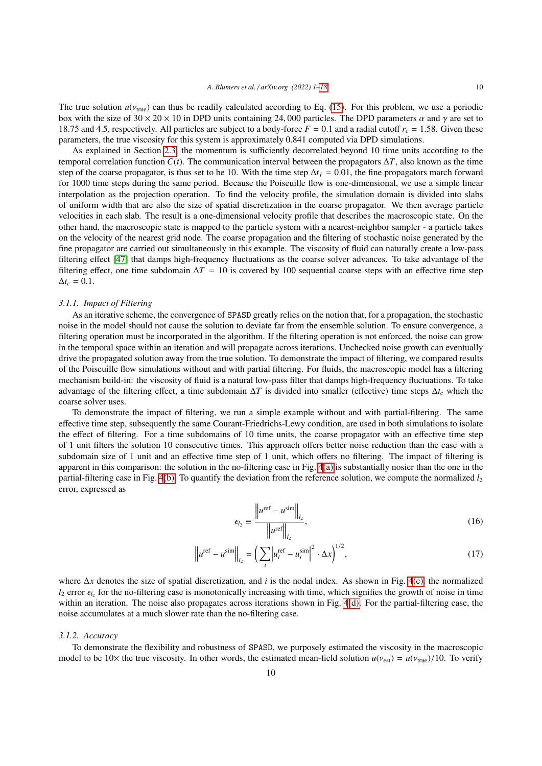The true solution  $u(v_{true})$  can thus be readily calculated according to Eq. [\(15\)](#page-8-1). For this problem, we use a periodic box with the size of  $30 \times 20 \times 10$  in DPD units containing 24,000 particles. The DPD parameters  $\alpha$  and  $\gamma$  are set to 18.75 and 4.5, respectively. All particles are subject to a body-force  $F = 0.1$  and a radial cutoff  $r_c = 1.58$ . Given these parameters, the true viscosity for this system is approximately 0.841 computed via DPD simulations.

As explained in Section [2.3,](#page-4-2) the momentum is sufficiently decorrelated beyond 10 time units according to the temporal correlation function *C*(*t*). The communication interval between the propagators  $\Delta T$ , also known as the time step of the coarse propagator, is thus set to be 10. With the time step <sup>∆</sup>*t<sup>f</sup>* <sup>=</sup> <sup>0</sup>.01, the fine propagators march forward for 1000 time steps during the same period. Because the Poiseuille flow is one-dimensional, we use a simple linear interpolation as the projection operation. To find the velocity profile, the simulation domain is divided into slabs of uniform width that are also the size of spatial discretization in the coarse propagator. We then average particle velocities in each slab. The result is a one-dimensional velocity profile that describes the macroscopic state. On the other hand, the macroscopic state is mapped to the particle system with a nearest-neighbor sampler - a particle takes on the velocity of the nearest grid node. The coarse propagation and the filtering of stochastic noise generated by the fine propagator are carried out simultaneously in this example. The viscosity of fluid can naturally create a low-pass filtering effect [\[47\]](#page-17-21) that damps high-frequency fluctuations as the coarse solver advances. To take advantage of the filtering effect, one time subdomain  $\Delta T = 10$  is covered by 100 sequential coarse steps with an effective time step  $\Delta t_c = 0.1$ .

# <span id="page-9-0"></span>*3.1.1. Impact of Filtering*

As an iterative scheme, the convergence of SPASD greatly relies on the notion that, for a propagation, the stochastic noise in the model should not cause the solution to deviate far from the ensemble solution. To ensure convergence, a filtering operation must be incorporated in the algorithm. If the filtering operation is not enforced, the noise can grow in the temporal space within an iteration and will propagate across iterations. Unchecked noise growth can eventually drive the propagated solution away from the true solution. To demonstrate the impact of filtering, we compared results of the Poiseuille flow simulations without and with partial filtering. For fluids, the macroscopic model has a filtering mechanism build-in: the viscosity of fluid is a natural low-pass filter that damps high-frequency fluctuations. To take advantage of the filtering effect, a time subdomain ∆*T* is divided into smaller (effective) time steps ∆*t<sup>c</sup>* which the coarse solver uses.

To demonstrate the impact of filtering, we run a simple example without and with partial-filtering. The same effective time step, subsequently the same Courant-Friedrichs-Lewy condition, are used in both simulations to isolate the effect of filtering. For a time subdomains of 10 time units, the coarse propagator with an effective time step of 1 unit filters the solution 10 consecutive times. This approach offers better noise reduction than the case with a subdomain size of 1 unit and an effective time step of 1 unit, which offers no filtering. The impact of filtering is apparent in this comparison: the solution in the no-filtering case in Fig. [4](#page-10-0)[\(a\)](#page-10-1) is substantially nosier than the one in the partial-filtering case in Fig. [4](#page-10-0)[\(b\).](#page-10-2) To quantify the deviation from the reference solution, we compute the normalized *l*<sup>2</sup> error, expressed as

$$
\epsilon_{l_2} \equiv \frac{\left\|u^{\text{ref}} - u^{\text{sim}}\right\|_{l_2}}{\left\|u^{\text{ref}}\right\|_{l_2}},\tag{16}
$$

$$
\left\|u^{\text{ref}} - u^{\text{sim}}\right\|_{l_2} = \left(\sum_i \left|u_i^{\text{ref}} - u_i^{\text{sim}}\right|^2 \cdot \Delta x\right)^{1/2},\tag{17}
$$

where ∆*x* denotes the size of spatial discretization, and *i* is the nodal index. As shown in Fig. [4](#page-10-0)[\(c\),](#page-10-3) the normalized  $l_2$  error  $\epsilon_{l_2}$  for the no-filtering case is monotonically increasing with time, which signifies the growth of noise in time<br>within an iteration. The noise also propagates across iterations shown in Fig. 4(d). For t within an iteration. The noise also propagates across iterations shown in Fig. [4](#page-10-0)[\(d\).](#page-10-4) For the partial-filtering case, the noise accumulates at a much slower rate than the no-filtering case.

#### *3.1.2. Accuracy*

To demonstrate the flexibility and robustness of SPASD, we purposely estimated the viscosity in the macroscopic model to be 10× the true viscosity. In other words, the estimated mean-field solution  $u(v_{est}) = u(v_{true})/10$ . To verify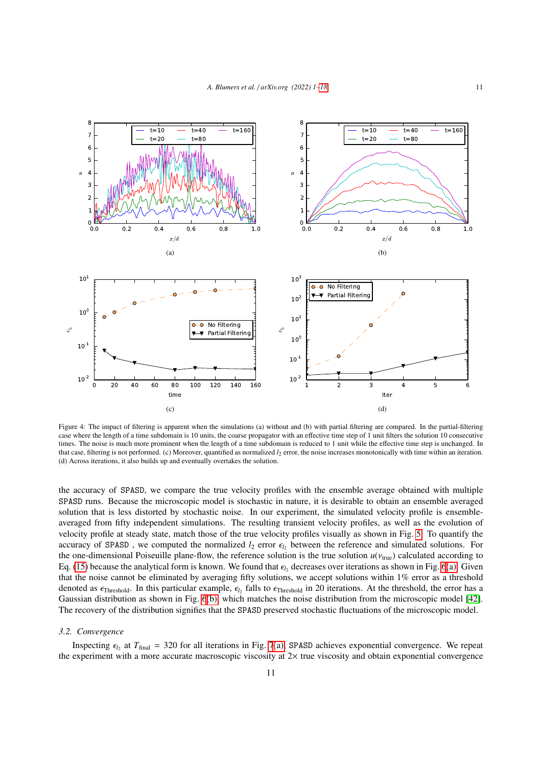<span id="page-10-2"></span><span id="page-10-1"></span><span id="page-10-0"></span>

<span id="page-10-4"></span><span id="page-10-3"></span>Figure 4: The impact of filtering is apparent when the simulations (a) without and (b) with partial filtering are compared. In the partial-filtering case where the length of a time subdomain is 10 units, the coarse propagator with an effective time step of 1 unit filters the solution 10 consecutive times. The noise is much more prominent when the length of a time subdomain is reduced to 1 unit while the effective time step is unchanged. In that case, filtering is not performed. (c) Moreover, quantified as normalized *l*<sup>2</sup> error, the noise increases monotonically with time within an iteration. (d) Across iterations, it also builds up and eventually overtakes the solution.

the accuracy of SPASD, we compare the true velocity profiles with the ensemble average obtained with multiple SPASD runs. Because the microscopic model is stochastic in nature, it is desirable to obtain an ensemble averaged solution that is less distorted by stochastic noise. In our experiment, the simulated velocity profile is ensembleaveraged from fifty independent simulations. The resulting transient velocity profiles, as well as the evolution of velocity profile at steady state, match those of the true velocity profiles visually as shown in Fig. [5.](#page-11-0) To quantify the accuracy of SPASD, we computed the normalized  $l_2$  error  $\epsilon_{l_2}$  between the reference and simulated solutions. For the one-dimensional Poiseuille plane-flow, the reference solution is the true solution  $u(v_{true})$  calculated according to Eq. [\(15\)](#page-8-1) because the analytical form is known. We found that  $\epsilon_{l_2}$  decreases over iterations as shown in Fig. [6](#page-11-1)[\(a\).](#page-11-2) Given<br>that the noise cannot be eliminated by averaging fifty solutions, we accept solutions within 1% that the noise cannot be eliminated by averaging fifty solutions, we accept solutions within 1% error as a threshold denoted as  $\epsilon_{\text{Threshold}}$ . In this particular example,  $\epsilon_{l_2}$  falls to  $\epsilon_{\text{Threshold}}$  in 20 iterations. At the threshold, the error has a Gaussian distribution as shown in Fig. 6(b), which matches the noise distribution from Gaussian distribution as shown in Fig. [6](#page-11-1)[\(b\),](#page-11-3) which matches the noise distribution from the microscopic model [\[42\]](#page-17-16). The recovery of the distribution signifies that the SPASD preserved stochastic fluctuations of the microscopic model.

# *3.2. Convergence*

Inspecting  $\epsilon_{l_2}$  at  $T_{\text{final}} = 320$  for all iterations in Fig. [7](#page-12-0)[\(a\),](#page-12-1) SPASD achieves exponential convergence. We repeat the experiment with a more accurate macroscopic viscosity at 2× true viscosity and obtain exponential convergence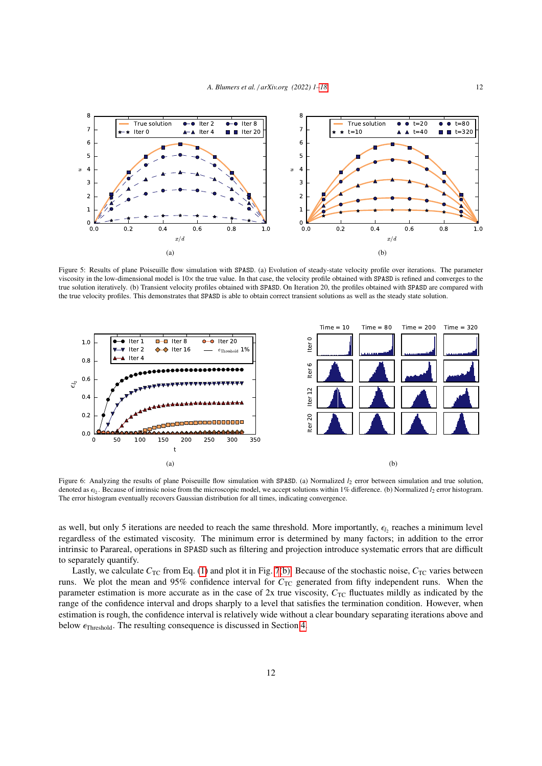<span id="page-11-0"></span>

Figure 5: Results of plane Poiseuille flow simulation with SPASD. (a) Evolution of steady-state velocity profile over iterations. The parameter viscosity in the low-dimensional model is 10× the true value. In that case, the velocity profile obtained with SPASD is refined and converges to the true solution iteratively. (b) Transient velocity profiles obtained with SPASD. On Iteration 20, the profiles obtained with SPASD are compared with the true velocity profiles. This demonstrates that SPASD is able to obtain correct transient solutions as well as the steady state solution.

<span id="page-11-1"></span>

<span id="page-11-3"></span><span id="page-11-2"></span>Figure 6: Analyzing the results of plane Poiseuille flow simulation with SPASD. (a) Normalized  $l_2$  error between simulation and true solution, denoted as  $\epsilon_{l_2}$ . Because of intrinsic noise from the microscopic model, we accept solutions within 1% difference. (b) Normalized  $l_2$  error histogram.<br>The error histogram eventually recovers Gaussian distribution fo The error histogram eventually recovers Gaussian distribution for all times, indicating convergence.

as well, but only 5 iterations are needed to reach the same threshold. More importantly,  $\epsilon_{l_2}$  reaches a minimum level<br>regardless of the estimated viscosity. The minimum error is determined by many factors: in additio regardless of the estimated viscosity. The minimum error is determined by many factors; in addition to the error intrinsic to Parareal, operations in SPASD such as filtering and projection introduce systematic errors that are difficult to separately quantify.

Lastly, we calculate  $C_{\text{TC}}$  from Eq. [\(1\)](#page-3-1) and plot it in Fig. [7](#page-12-0)[\(b\).](#page-12-2) Because of the stochastic noise,  $C_{\text{TC}}$  varies between runs. We plot the mean and 95% confidence interval for  $C_{TC}$  generated from fifty independent runs. When the parameter estimation is more accurate as in the case of  $2x$  true viscosity,  $C_{TC}$  fluctuates mildly as indicated by the range of the confidence interval and drops sharply to a level that satisfies the termination condition. However, when estimation is rough, the confidence interval is relatively wide without a clear boundary separating iterations above and below  $\epsilon_{\text{Threshold}}$ . The resulting consequence is discussed in Section [4.](#page-15-0)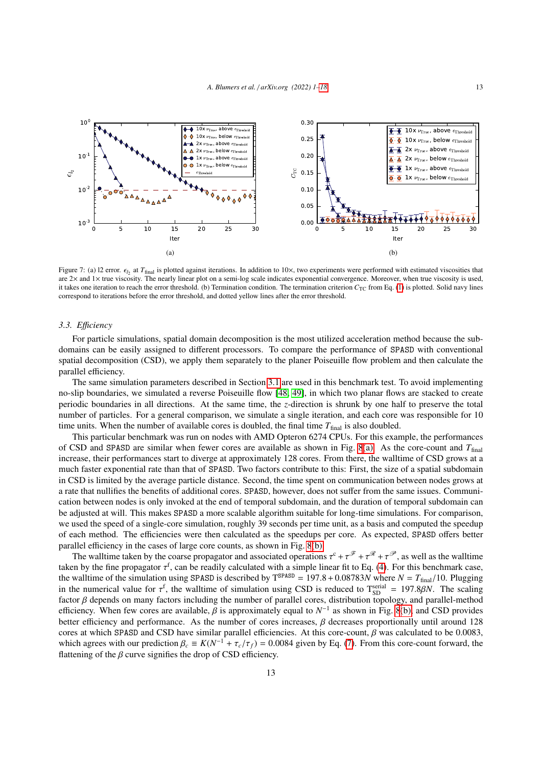<span id="page-12-0"></span>

<span id="page-12-2"></span><span id="page-12-1"></span>Figure 7: (a) 12 error.  $\epsilon_{l_2}$  at  $T_{\text{final}}$  is plotted against iterations. In addition to 10×, two experiments were performed with estimated viscosities that  $2 \times$  and  $1 \times$  true viscosity. The nearly linear plot on a are  $2\times$  and  $1\times$  true viscosity. The nearly linear plot on a semi-log scale indicates exponential convergence. Moreover, when true viscosity is used it takes one iteration to reach the error threshold. (b) Termination condition. The termination criterion  $C_{TC}$  from Eq. [\(1\)](#page-3-1) is plotted. Solid navy lines correspond to iterations before the error threshold, and dotted yellow lines after the error threshold.

#### *3.3. E*ffi*ciency*

For particle simulations, spatial domain decomposition is the most utilized acceleration method because the subdomains can be easily assigned to different processors. To compare the performance of SPASD with conventional spatial decomposition (CSD), we apply them separately to the planer Poiseuille flow problem and then calculate the parallel efficiency.

The same simulation parameters described in Section [3.1](#page-8-2) are used in this benchmark test. To avoid implementing no-slip boundaries, we simulated a reverse Poiseuille flow [\[48,](#page-17-22) [49\]](#page-17-23), in which two planar flows are stacked to create periodic boundaries in all directions. At the same time, the *z*-direction is shrunk by one half to preserve the total number of particles. For a general comparison, we simulate a single iteration, and each core was responsible for 10 time units. When the number of available cores is doubled, the final time  $T_{final}$  is also doubled.

This particular benchmark was run on nodes with AMD Opteron 6274 CPUs. For this example, the performances of CSD and SPASD are similar when fewer cores are available as shown in Fig. [8](#page-13-0)[\(a\).](#page-13-1) As the core-count and  $T_{final}$ increase, their performances start to diverge at approximately 128 cores. From there, the walltime of CSD grows at a much faster exponential rate than that of SPASD. Two factors contribute to this: First, the size of a spatial subdomain in CSD is limited by the average particle distance. Second, the time spent on communication between nodes grows at a rate that nullifies the benefits of additional cores. SPASD, however, does not suffer from the same issues. Communication between nodes is only invoked at the end of temporal subdomain, and the duration of temporal subdomain can be adjusted at will. This makes SPASD a more scalable algorithm suitable for long-time simulations. For comparison, we used the speed of a single-core simulation, roughly 39 seconds per time unit, as a basis and computed the speedup of each method. The efficiencies were then calculated as the speedups per core. As expected, SPASD offers better parallel efficiency in the cases of large core counts, as shown in Fig. [8](#page-13-0)[\(b\).](#page-13-2)

The walltime taken by the coarse propagator and associated operations  $\tau^c + \tau^{\mathscr{F}} + \tau^{\mathscr{F}} + \tau^{\mathscr{F}}$ , as well as the walltime taken by the fine propagator  $\tau^f$ , can be readily calculated with a simple linear fit to Eq. [\(4\)](#page-6-1). For this benchmark case,<br>the walltime of the simulation using SPASD is described by T<sup>SPASD</sup> – 197.8 + 0.08783*N* where the walltime of the simulation using SPASD is described by  $T^{SPASD} = 197.8 + 0.08783N$  where  $N = T_{final}/10$ . Plugging in the numerical value for  $\tau^f$ , the walltime of simulation using CSD is reduced to  $T_{\text{SD}}^{\text{serial}} = 197.8\beta N$ . The scaling factor *R* depends on many factors including the number of parallel cores distribution topology factor  $\beta$  depends on many factors including the number of parallel cores, distribution topology, and parallel-method efficiency. When few cores are available,  $\beta$  is approximately equal to  $N^{-1}$  as shown in Fig. [8](#page-13-0)[\(b\),](#page-13-2) and CSD provides better efficiency and performance. As the number of cores increases  $\beta$  decreases proportionally unt better efficiency and performance. As the number of cores increases,  $\beta$  decreases proportionally until around 128 cores at which SPASD and CSD have similar parallel efficiencies. At this core-count,  $\beta$  was calculated to be 0.0083, which agrees with our prediction  $\beta_c \equiv K(N^{-1} + \tau_c/\tau_f) = 0.0084$  given by Eq. [\(7\)](#page-6-4). From this core-count forward, the flattening of the *R* curve signifies the drop of CSD efficiency. flattening of the  $\beta$  curve signifies the drop of CSD efficiency.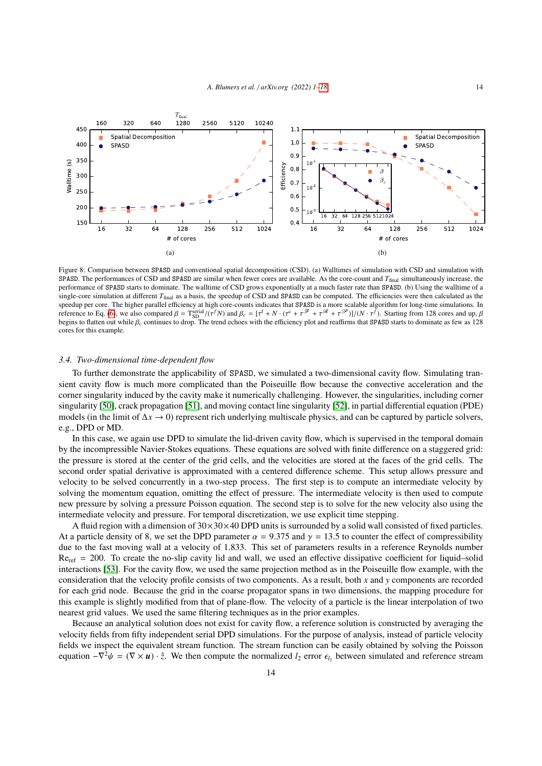<span id="page-13-0"></span>

<span id="page-13-2"></span><span id="page-13-1"></span>Figure 8: Comparison between SPASD and conventional spatial decomposition (CSD). (a) Walltimes of simulation with CSD and simulation with SPASD. The performances of CSD and SPASD are similar when fewer cores are available. As the core-count and *T*final simultaneously increase, the performance of SPASD starts to dominate. The walltime of CSD grows exponentially at a much faster rate than SPASD. (b) Using the walltime of a single-core simulation at different  $T_{final}$  as a basis, the speedup of CSD and SPASD can be computed. The efficiencies were then calculated as the speedup per core. The higher parallel efficiency at high core-counts indicates that SPASD is a more scalable algorithm for long-time simulations. In reference to Eq. [\(6\)](#page-6-3), we also compared  $\beta = \text{Ts}^{\text{serial}}/(\tau^f N)$  and  $\beta_c = [\tau^f + N \cdot (\tau^c + \tau^{\mathcal{F}} + \tau^{\mathcal{R}} + \tau^{\mathcal{P}})]/(N \cdot \tau^f)$ . Starting from 128 cores and up,  $\beta$ <br>begins to flatten out while  $\beta$ , continues to drop. The begins to flatten out while  $\beta_c$  continues to drop. The trend echoes with the efficiency plot and reaffirms that SPASD starts to dominate as few as 128<br>cores for this example cores for this example.

#### *3.4. Two-dimensional time-dependent flow*

To further demonstrate the applicability of SPASD, we simulated a two-dimensional cavity flow. Simulating transient cavity flow is much more complicated than the Poiseuille flow because the convective acceleration and the corner singularity induced by the cavity make it numerically challenging. However, the singularities, including corner singularity [\[50\]](#page-17-24), crack propagation [\[51\]](#page-17-25), and moving contact line singularity [\[52\]](#page-17-26), in partial differential equation (PDE) models (in the limit of ∆*x* → 0) represent rich underlying multiscale physics, and can be captured by particle solvers, e.g., DPD or MD.

In this case, we again use DPD to simulate the lid-driven cavity flow, which is supervised in the temporal domain by the incompressible Navier-Stokes equations. These equations are solved with finite difference on a staggered grid: the pressure is stored at the center of the grid cells, and the velocities are stored at the faces of the grid cells. The second order spatial derivative is approximated with a centered difference scheme. This setup allows pressure and velocity to be solved concurrently in a two-step process. The first step is to compute an intermediate velocity by solving the momentum equation, omitting the effect of pressure. The intermediate velocity is then used to compute new pressure by solving a pressure Poisson equation. The second step is to solve for the new velocity also using the intermediate velocity and pressure. For temporal discretization, we use explicit time stepping.

A fluid region with a dimension of  $30 \times 30 \times 40$  DPD units is surrounded by a solid wall consisted of fixed particles. At a particle density of 8, we set the DPD parameter  $\alpha = 9.375$  and  $\gamma = 13.5$  to counter the effect of compressibility due to the fast moving wall at a velocity of 1.833. This set of parameters results in a reference Reynolds number  $Re_{\text{ref}}$  = 200. To create the no-slip cavity lid and wall, we used an effective dissipative coefficient for liquid–solid interactions [\[53\]](#page-17-27). For the cavity flow, we used the same projection method as in the Poiseuille flow example, with the consideration that the velocity profile consists of two components. As a result, both *x* and *y* components are recorded for each grid node. Because the grid in the coarse propagator spans in two dimensions, the mapping procedure for this example is slightly modified from that of plane-flow. The velocity of a particle is the linear interpolation of two nearest grid values. We used the same filtering techniques as in the prior examples.

Because an analytical solution does not exist for cavity flow, a reference solution is constructed by averaging the velocity fields from fifty independent serial DPD simulations. For the purpose of analysis, instead of particle velocity fields we inspect the equivalent stream function. The stream function can be easily obtained by solving the Poisson equation  $-\nabla^2 \psi = (\nabla \times \mathbf{u}) \cdot \hat{z}$ . We then compute the normalized  $l_2$  error  $\epsilon_{l_2}$  between simulated and reference stream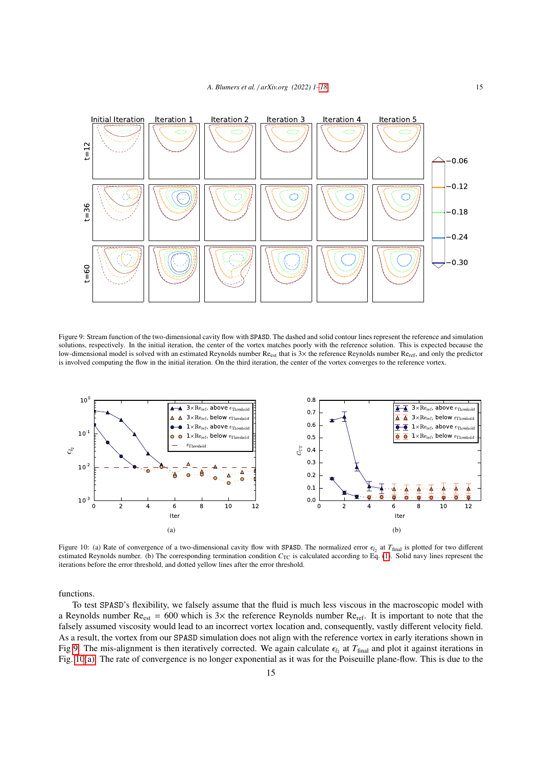<span id="page-14-0"></span>

Figure 9: Stream function of the two-dimensional cavity flow with SPASD. The dashed and solid contour lines represent the reference and simulation solutions, respectively. In the initial iteration, the center of the vortex matches poorly with the reference solution. This is expected because the low-dimensional model is solved with an estimated Reynolds number Re<sub>est</sub> that is 3× the reference Reynolds number Re<sub>ref</sub>, and only the predictor is involved computing the flow in the initial iteration. On the third iteration, the center of the vortex converges to the reference vortex.

<span id="page-14-1"></span>

<span id="page-14-3"></span><span id="page-14-2"></span>Figure 10: (a) Rate of convergence of a two-dimensional cavity flow with SPASD. The normalized error  $\epsilon_{l_2}$  at  $T_{\text{final}}$  is plotted for two different research the corresponding termination condition  $C_{\text{rec}}$  is calcul estimated Reynolds number. (b) The corresponding termination condition  $C_{TC}$  is calculated according to Eq. [\(1\)](#page-3-1). Solid navy lines represent the iterations before the error threshold, and dotted yellow lines after the error threshold.

functions.

To test SPASD's flexibility, we falsely assume that the fluid is much less viscous in the macroscopic model with a Reynolds number  $Re_{est} = 600$  which is  $3\times$  the reference Reynolds number  $Re_{ref}$ . It is important to note that the falsely assumed viscosity would lead to an incorrect vortex location and, consequently, vastly different velocity field. As a result, the vortex from our SPASD simulation does not align with the reference vortex in early iterations shown in Fig [9.](#page-14-0) The mis-alignment is then iteratively corrected. We again calculate  $\epsilon_{l_2}$  at  $T_{\text{final}}$  and plot it against iterations in<br>Fig. 10(a). The rate of convergence is no longer exponential as it was for the Poiseuille Fig. [10](#page-14-1)[\(a\).](#page-14-2) The rate of convergence is no longer exponential as it was for the Poiseuille plane-flow. This is due to the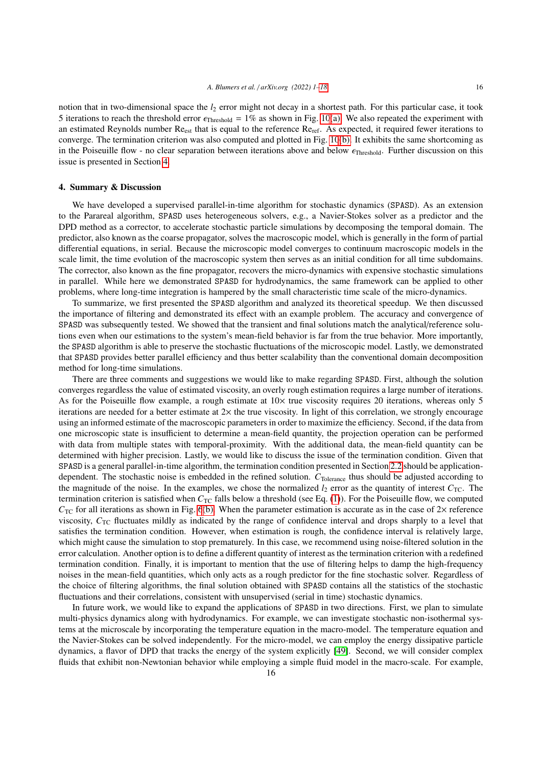notion that in two-dimensional space the *l<sub>2</sub>* error might not decay in a shortest path. For this particular case, it took 5 iterations to reach the threshold error  $\epsilon_{\text{Threshold}} = 1\%$  as shown in Fig. [10](#page-14-1)[\(a\).](#page-14-2) We also repeated the experiment with an estimated Reynolds number  $\text{Re}_{est}$  that is equal to the reference  $\text{Re}_{ref}$ . As expected, it required fewer iterations to converge. The termination criterion was also computed and plotted in Fig. [10](#page-14-1)[\(b\).](#page-14-3) It exhibits the same shortcoming as in the Poiseuille flow - no clear separation between iterations above and below  $\epsilon_{\text{Threshold}}$ . Further discussion on this issue is presented in Section [4.](#page-15-0)

# <span id="page-15-0"></span>4. Summary & Discussion

We have developed a supervised parallel-in-time algorithm for stochastic dynamics (SPASD). As an extension to the Parareal algorithm, SPASD uses heterogeneous solvers, e.g., a Navier-Stokes solver as a predictor and the DPD method as a corrector, to accelerate stochastic particle simulations by decomposing the temporal domain. The predictor, also known as the coarse propagator, solves the macroscopic model, which is generally in the form of partial differential equations, in serial. Because the microscopic model converges to continuum macroscopic models in the scale limit, the time evolution of the macroscopic system then serves as an initial condition for all time subdomains. The corrector, also known as the fine propagator, recovers the micro-dynamics with expensive stochastic simulations in parallel. While here we demonstrated SPASD for hydrodynamics, the same framework can be applied to other problems, where long-time integration is hampered by the small characteristic time scale of the micro-dynamics.

To summarize, we first presented the SPASD algorithm and analyzed its theoretical speedup. We then discussed the importance of filtering and demonstrated its effect with an example problem. The accuracy and convergence of SPASD was subsequently tested. We showed that the transient and final solutions match the analytical/reference solutions even when our estimations to the system's mean-field behavior is far from the true behavior. More importantly, the SPASD algorithm is able to preserve the stochastic fluctuations of the microscopic model. Lastly, we demonstrated that SPASD provides better parallel efficiency and thus better scalability than the conventional domain decomposition method for long-time simulations.

There are three comments and suggestions we would like to make regarding SPASD. First, although the solution converges regardless the value of estimated viscosity, an overly rough estimation requires a large number of iterations. As for the Poiseuille flow example, a rough estimate at  $10\times$  true viscosity requires 20 iterations, whereas only 5 iterations are needed for a better estimate at 2× the true viscosity. In light of this correlation, we strongly encourage using an informed estimate of the macroscopic parameters in order to maximize the efficiency. Second, if the data from one microscopic state is insufficient to determine a mean-field quantity, the projection operation can be performed with data from multiple states with temporal-proximity. With the additional data, the mean-field quantity can be determined with higher precision. Lastly, we would like to discuss the issue of the termination condition. Given that SPASD is a general parallel-in-time algorithm, the termination condition presented in Section [2.2](#page-3-2) should be applicationdependent. The stochastic noise is embedded in the refined solution.  $C_{\text{Tolerance}}$  thus should be adjusted according to the magnitude of the noise. In the examples, we chose the normalized  $l_2$  error as the quantity of interest  $C_{TC}$ . The termination criterion is satisfied when  $C_{TC}$  falls below a threshold (see Eq. [\(1\)](#page-3-1)). For the Poiseuille flow, we computed  $C_{TC}$  for all iterations as shown in Fig. [6](#page-11-1)[\(b\).](#page-12-2) When the parameter estimation is accurate as in the case of  $2\times$  reference viscosity,  $C_{TC}$  fluctuates mildly as indicated by the range of confidence interval and drops sharply to a level that satisfies the termination condition. However, when estimation is rough, the confidence interval is relatively large, which might cause the simulation to stop prematurely. In this case, we recommend using noise-filtered solution in the error calculation. Another option is to define a different quantity of interest as the termination criterion with a redefined termination condition. Finally, it is important to mention that the use of filtering helps to damp the high-frequency noises in the mean-field quantities, which only acts as a rough predictor for the fine stochastic solver. Regardless of the choice of filtering algorithms, the final solution obtained with SPASD contains all the statistics of the stochastic fluctuations and their correlations, consistent with unsupervised (serial in time) stochastic dynamics.

In future work, we would like to expand the applications of SPASD in two directions. First, we plan to simulate multi-physics dynamics along with hydrodynamics. For example, we can investigate stochastic non-isothermal systems at the microscale by incorporating the temperature equation in the macro-model. The temperature equation and the Navier-Stokes can be solved independently. For the micro-model, we can employ the energy dissipative particle dynamics, a flavor of DPD that tracks the energy of the system explicitly [\[49\]](#page-17-23). Second, we will consider complex fluids that exhibit non-Newtonian behavior while employing a simple fluid model in the macro-scale. For example,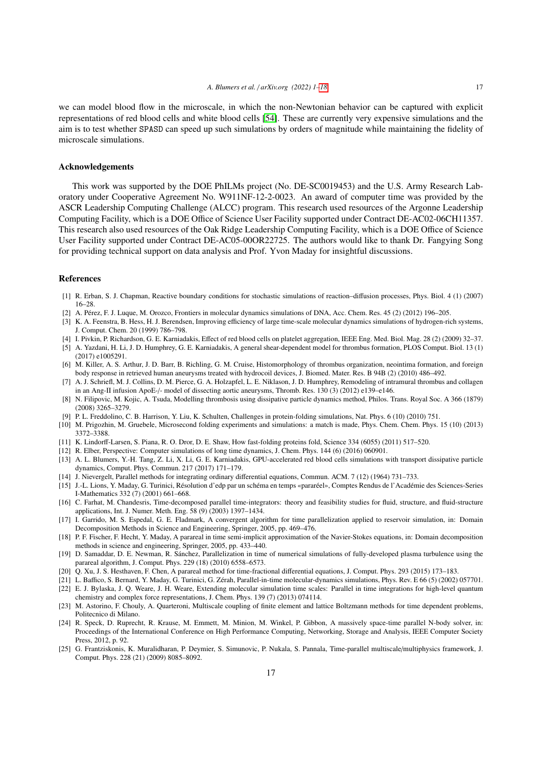we can model blood flow in the microscale, in which the non-Newtonian behavior can be captured with explicit representations of red blood cells and white blood cells [\[54\]](#page-17-28). These are currently very expensive simulations and the aim is to test whether SPASD can speed up such simulations by orders of magnitude while maintaining the fidelity of microscale simulations.

## Acknowledgements

This work was supported by the DOE PhILMs project (No. DE-SC0019453) and the U.S. Army Research Laboratory under Cooperative Agreement No. W911NF-12-2-0023. An award of computer time was provided by the ASCR Leadership Computing Challenge (ALCC) program. This research used resources of the Argonne Leadership Computing Facility, which is a DOE Office of Science User Facility supported under Contract DE-AC02-06CH11357. This research also used resources of the Oak Ridge Leadership Computing Facility, which is a DOE Office of Science User Facility supported under Contract DE-AC05-00OR22725. The authors would like to thank Dr. Fangying Song for providing technical support on data analysis and Prof. Yvon Maday for insightful discussions.

## <span id="page-16-0"></span>References

- <span id="page-16-1"></span>[1] R. Erban, S. J. Chapman, Reactive boundary conditions for stochastic simulations of reaction–diffusion processes, Phys. Biol. 4 (1) (2007) 16–28.
- <span id="page-16-2"></span>[2] A. Pérez, F. J. Luque, M. Orozco, Frontiers in molecular dynamics simulations of DNA, Acc. Chem. Res. 45 (2) (2012) 196–205.
- <span id="page-16-3"></span>[3] K. A. Feenstra, B. Hess, H. J. Berendsen, Improving efficiency of large time-scale molecular dynamics simulations of hydrogen-rich systems, J. Comput. Chem. 20 (1999) 786–798.
- <span id="page-16-4"></span>[4] I. Pivkin, P. Richardson, G. E. Karniadakis, Effect of red blood cells on platelet aggregation, IEEE Eng. Med. Biol. Mag. 28 (2) (2009) 32–37.
- <span id="page-16-5"></span>[5] A. Yazdani, H. Li, J. D. Humphrey, G. E. Karniadakis, A general shear-dependent model for thrombus formation, PLOS Comput. Biol. 13 (1) (2017) e1005291.
- <span id="page-16-6"></span>[6] M. Killer, A. S. Arthur, J. D. Barr, B. Richling, G. M. Cruise, Histomorphology of thrombus organization, neointima formation, and foreign body response in retrieved human aneurysms treated with hydrocoil devices, J. Biomed. Mater. Res. B 94B (2) (2010) 486–492.
- <span id="page-16-7"></span>[7] A. J. Schriefl, M. J. Collins, D. M. Pierce, G. A. Holzapfel, L. E. Niklason, J. D. Humphrey, Remodeling of intramural thrombus and collagen in an Ang-II infusion ApoE-/- model of dissecting aortic aneurysms, Thromb. Res. 130 (3) (2012) e139–e146.
- <span id="page-16-8"></span>[8] N. Filipovic, M. Kojic, A. Tsuda, Modelling thrombosis using dissipative particle dynamics method, Philos. Trans. Royal Soc. A 366 (1879) (2008) 3265–3279.
- <span id="page-16-9"></span>[9] P. L. Freddolino, C. B. Harrison, Y. Liu, K. Schulten, Challenges in protein-folding simulations, Nat. Phys. 6 (10) (2010) 751.
- <span id="page-16-10"></span>[10] M. Prigozhin, M. Gruebele, Microsecond folding experiments and simulations: a match is made, Phys. Chem. Chem. Phys. 15 (10) (2013) 3372–3388.
- <span id="page-16-11"></span>[11] K. Lindorff-Larsen, S. Piana, R. O. Dror, D. E. Shaw, How fast-folding proteins fold, Science 334 (6055) (2011) 517–520.
- <span id="page-16-12"></span>[12] R. Elber, Perspective: Computer simulations of long time dynamics, J. Chem. Phys. 144 (6) (2016) 060901.
- <span id="page-16-13"></span>[13] A. L. Blumers, Y.-H. Tang, Z. Li, X. Li, G. E. Karniadakis, GPU-accelerated red blood cells simulations with transport dissipative particle dynamics, Comput. Phys. Commun. 217 (2017) 171–179.
- <span id="page-16-14"></span>[14] J. Nievergelt, Parallel methods for integrating ordinary differential equations, Commun. ACM. 7 (12) (1964) 731–733.
- <span id="page-16-15"></span>[15] J.-L. Lions, Y. Maday, G. Turinici, Résolution d'edp par un schéma en temps «pararéel», Comptes Rendus de l'Académie des Sciences-Series I-Mathematics 332 (7) (2001) 661–668.
- <span id="page-16-16"></span>[16] C. Farhat, M. Chandesris, Time-decomposed parallel time-integrators: theory and feasibility studies for fluid, structure, and fluid-structure applications, Int. J. Numer. Meth. Eng. 58 (9) (2003) 1397–1434.
- <span id="page-16-17"></span>[17] I. Garrido, M. S. Espedal, G. E. Fladmark, A convergent algorithm for time parallelization applied to reservoir simulation, in: Domain Decomposition Methods in Science and Engineering, Springer, 2005, pp. 469–476.
- <span id="page-16-18"></span>[18] P. F. Fischer, F. Hecht, Y. Maday, A parareal in time semi-implicit approximation of the Navier-Stokes equations, in: Domain decomposition methods in science and engineering, Springer, 2005, pp. 433–440.
- <span id="page-16-19"></span>[19] D. Samaddar, D. E. Newman, R. Sánchez, Parallelization in time of numerical simulations of fully-developed plasma turbulence using the parareal algorithm, J. Comput. Phys. 229 (18) (2010) 6558–6573.
- <span id="page-16-20"></span>[20] Q. Xu, J. S. Hesthaven, F. Chen, A parareal method for time-fractional differential equations, J. Comput. Phys. 293 (2015) 173–183.
- <span id="page-16-21"></span>[21] L. Baffico, S. Bernard, Y. Maday, G. Turinici, G. Zérah, Parallel-in-time molecular-dynamics simulations, Phys. Rev. E 66 (5) (2002) 057701.
- [22] E. J. Bylaska, J. Q. Weare, J. H. Weare, Extending molecular simulation time scales: Parallel in time integrations for high-level quantum chemistry and complex force representations, J. Chem. Phys. 139 (7) (2013) 074114.
- <span id="page-16-22"></span>[23] M. Astorino, F. Chouly, A. Quarteroni, Multiscale coupling of finite element and lattice Boltzmann methods for time dependent problems, Politecnico di Milano.
- [24] R. Speck, D. Ruprecht, R. Krause, M. Emmett, M. Minion, M. Winkel, P. Gibbon, A massively space-time parallel N-body solver, in: Proceedings of the International Conference on High Performance Computing, Networking, Storage and Analysis, IEEE Computer Society Press, 2012, p. 92.
- [25] G. Frantziskonis, K. Muralidharan, P. Deymier, S. Simunovic, P. Nukala, S. Pannala, Time-parallel multiscale/multiphysics framework, J. Comput. Phys. 228 (21) (2009) 8085–8092.